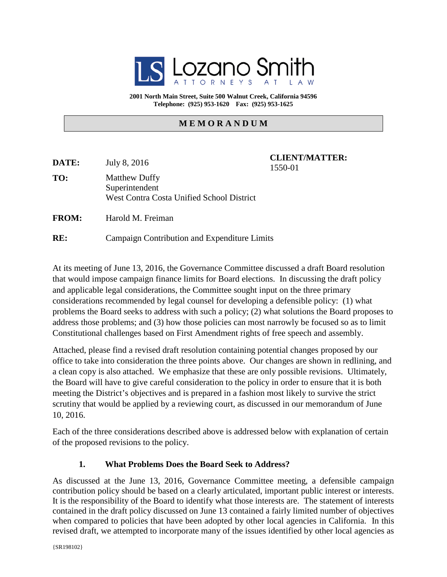

**2001 North Main Street, Suite 500 Walnut Creek, California 94596 Telephone: (925) 953-1620 Fax: (925) 953-1625**

#### **M E M O R A N D U M**

| DATE:        | July 8, 2016                                                                               | <b>CLIENT/MATTER:</b><br>1550-01 |
|--------------|--------------------------------------------------------------------------------------------|----------------------------------|
| TO:          | <b>Matthew Duffy</b><br>Superintendent<br><b>West Contra Costa Unified School District</b> |                                  |
| <b>FROM:</b> | Harold M. Freiman                                                                          |                                  |

**RE:** Campaign Contribution and Expenditure Limits

At its meeting of June 13, 2016, the Governance Committee discussed a draft Board resolution that would impose campaign finance limits for Board elections. In discussing the draft policy and applicable legal considerations, the Committee sought input on the three primary considerations recommended by legal counsel for developing a defensible policy: (1) what problems the Board seeks to address with such a policy; (2) what solutions the Board proposes to address those problems; and (3) how those policies can most narrowly be focused so as to limit Constitutional challenges based on First Amendment rights of free speech and assembly.

Attached, please find a revised draft resolution containing potential changes proposed by our office to take into consideration the three points above. Our changes are shown in redlining, and a clean copy is also attached. We emphasize that these are only possible revisions. Ultimately, the Board will have to give careful consideration to the policy in order to ensure that it is both meeting the District's objectives and is prepared in a fashion most likely to survive the strict scrutiny that would be applied by a reviewing court, as discussed in our memorandum of June 10, 2016.

Each of the three considerations described above is addressed below with explanation of certain of the proposed revisions to the policy.

#### **1. What Problems Does the Board Seek to Address?**

As discussed at the June 13, 2016, Governance Committee meeting, a defensible campaign contribution policy should be based on a clearly articulated, important public interest or interests. It is the responsibility of the Board to identify what those interests are. The statement of interests contained in the draft policy discussed on June 13 contained a fairly limited number of objectives when compared to policies that have been adopted by other local agencies in California. In this revised draft, we attempted to incorporate many of the issues identified by other local agencies as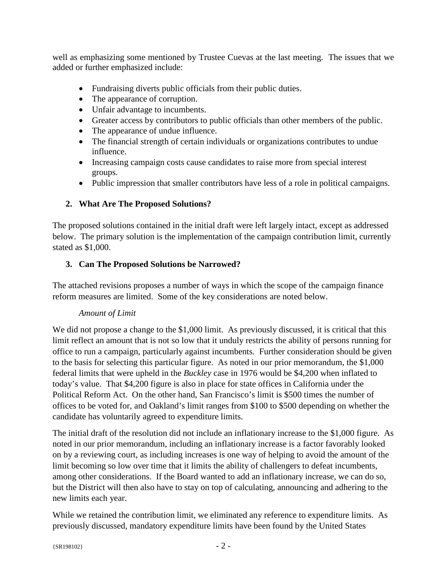well as emphasizing some mentioned by Trustee Cuevas at the last meeting. The issues that we added or further emphasized include:

- Fundraising diverts public officials from their public duties.
- The appearance of corruption.
- Unfair advantage to incumbents.
- Greater access by contributors to public officials than other members of the public.
- The appearance of undue influence.
- The financial strength of certain individuals or organizations contributes to undue influence.
- Increasing campaign costs cause candidates to raise more from special interest groups.
- Public impression that smaller contributors have less of a role in political campaigns.

## **2. What Are The Proposed Solutions?**

The proposed solutions contained in the initial draft were left largely intact, except as addressed below. The primary solution is the implementation of the campaign contribution limit, currently stated as \$1,000.

# **3. Can The Proposed Solutions be Narrowed?**

The attached revisions proposes a number of ways in which the scope of the campaign finance reform measures are limited. Some of the key considerations are noted below.

## *Amount of Limit*

We did not propose a change to the \$1,000 limit. As previously discussed, it is critical that this limit reflect an amount that is not so low that it unduly restricts the ability of persons running for office to run a campaign, particularly against incumbents. Further consideration should be given to the basis for selecting this particular figure. As noted in our prior memorandum, the \$1,000 federal limits that were upheld in the *Buckley* case in 1976 would be \$4,200 when inflated to today's value. That \$4,200 figure is also in place for state offices in California under the Political Reform Act. On the other hand, San Francisco's limit is \$500 times the number of offices to be voted for, and Oakland's limit ranges from \$100 to \$500 depending on whether the candidate has voluntarily agreed to expenditure limits.

The initial draft of the resolution did not include an inflationary increase to the \$1,000 figure. As noted in our prior memorandum, including an inflationary increase is a factor favorably looked on by a reviewing court, as including increases is one way of helping to avoid the amount of the limit becoming so low over time that it limits the ability of challengers to defeat incumbents, among other considerations. If the Board wanted to add an inflationary increase, we can do so, but the District will then also have to stay on top of calculating, announcing and adhering to the new limits each year.

While we retained the contribution limit, we eliminated any reference to expenditure limits. As previously discussed, mandatory expenditure limits have been found by the United States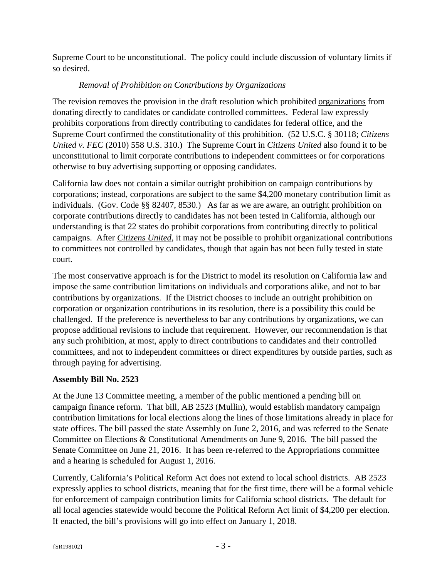Supreme Court to be unconstitutional. The policy could include discussion of voluntary limits if so desired.

## *Removal of Prohibition on Contributions by Organizations*

The revision removes the provision in the draft resolution which prohibited organizations from donating directly to candidates or candidate controlled committees. Federal law expressly prohibits corporations from directly contributing to candidates for federal office, and the Supreme Court confirmed the constitutionality of this prohibition. (52 U.S.C. § 30118; *Citizens United v. FEC* (2010) 558 U.S. 310.) The Supreme Court in *Citizens United* also found it to be unconstitutional to limit corporate contributions to independent committees or for corporations otherwise to buy advertising supporting or opposing candidates.

California law does not contain a similar outright prohibition on campaign contributions by corporations; instead, corporations are subject to the same \$4,200 monetary contribution limit as individuals. (Gov. Code §§ 82407, 8530.) As far as we are aware, an outright prohibition on corporate contributions directly to candidates has not been tested in California, although our understanding is that 22 states do prohibit corporations from contributing directly to political campaigns. After *Citizens United*, it may not be possible to prohibit organizational contributions to committees not controlled by candidates, though that again has not been fully tested in state court.

The most conservative approach is for the District to model its resolution on California law and impose the same contribution limitations on individuals and corporations alike, and not to bar contributions by organizations. If the District chooses to include an outright prohibition on corporation or organization contributions in its resolution, there is a possibility this could be challenged. If the preference is nevertheless to bar any contributions by organizations, we can propose additional revisions to include that requirement. However, our recommendation is that any such prohibition, at most, apply to direct contributions to candidates and their controlled committees, and not to independent committees or direct expenditures by outside parties, such as through paying for advertising.

## **Assembly Bill No. 2523**

At the June 13 Committee meeting, a member of the public mentioned a pending bill on campaign finance reform. That bill, AB 2523 (Mullin), would establish mandatory campaign contribution limitations for local elections along the lines of those limitations already in place for state offices. The bill passed the state Assembly on June 2, 2016, and was referred to the Senate Committee on Elections & Constitutional Amendments on June 9, 2016. The bill passed the Senate Committee on June 21, 2016. It has been re-referred to the Appropriations committee and a hearing is scheduled for August 1, 2016.

Currently, California's Political Reform Act does not extend to local school districts. AB 2523 expressly applies to school districts, meaning that for the first time, there will be a formal vehicle for enforcement of campaign contribution limits for California school districts. The default for all local agencies statewide would become the Political Reform Act limit of \$4,200 per election. If enacted, the bill's provisions will go into effect on January 1, 2018.